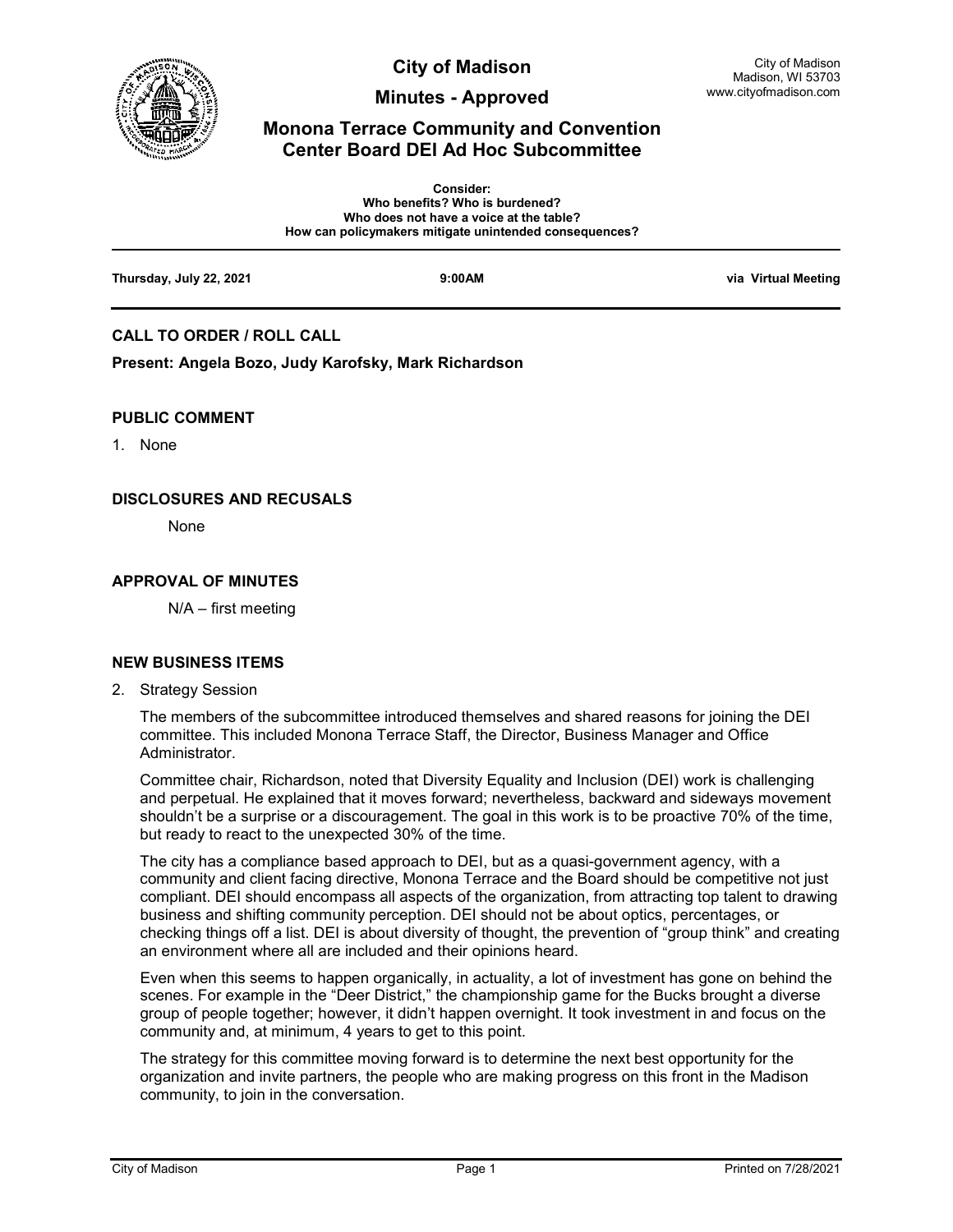

**City of Madison** 

**Minutes - Approved**

# **Monona Terrace Community and Convention Center Board DEI Ad Hoc Subcommittee**

|                         | <b>Consider:</b><br>Who benefits? Who is burdened?<br>Who does not have a voice at the table?<br>How can policymakers mitigate unintended consequences? |                     |
|-------------------------|---------------------------------------------------------------------------------------------------------------------------------------------------------|---------------------|
| Thursday, July 22, 2021 | 9:00AM                                                                                                                                                  | via Virtual Meeting |

## **CALL TO ORDER / ROLL CALL**

**Present: Angela Bozo, Judy Karofsky, Mark Richardson**

#### **PUBLIC COMMENT**

1. None

#### **DISCLOSURES AND RECUSALS**

None

### **APPROVAL OF MINUTES**

N/A – first meeting

#### **NEW BUSINESS ITEMS**

2. Strategy Session

The members of the subcommittee introduced themselves and shared reasons for joining the DEI committee. This included Monona Terrace Staff, the Director, Business Manager and Office Administrator.

Committee chair, Richardson, noted that Diversity Equality and Inclusion (DEI) work is challenging and perpetual. He explained that it moves forward; nevertheless, backward and sideways movement shouldn't be a surprise or a discouragement. The goal in this work is to be proactive 70% of the time, but ready to react to the unexpected 30% of the time.

The city has a compliance based approach to DEI, but as a quasi-government agency, with a community and client facing directive, Monona Terrace and the Board should be competitive not just compliant. DEI should encompass all aspects of the organization, from attracting top talent to drawing business and shifting community perception. DEI should not be about optics, percentages, or checking things off a list. DEI is about diversity of thought, the prevention of "group think" and creating an environment where all are included and their opinions heard.

Even when this seems to happen organically, in actuality, a lot of investment has gone on behind the scenes. For example in the "Deer District," the championship game for the Bucks brought a diverse group of people together; however, it didn't happen overnight. It took investment in and focus on the community and, at minimum, 4 years to get to this point.

The strategy for this committee moving forward is to determine the next best opportunity for the organization and invite partners, the people who are making progress on this front in the Madison community, to join in the conversation.